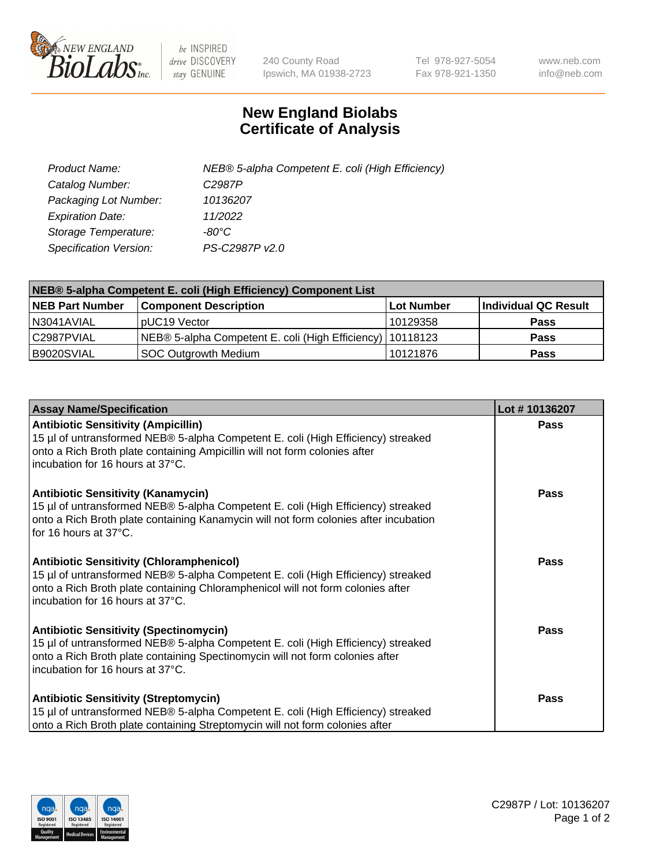

 $be$  INSPIRED drive DISCOVERY stay GENUINE

240 County Road Ipswich, MA 01938-2723 Tel 978-927-5054 Fax 978-921-1350 www.neb.com info@neb.com

## **New England Biolabs Certificate of Analysis**

| Product Name:                 | NEB® 5-alpha Competent E. coli (High Efficiency) |
|-------------------------------|--------------------------------------------------|
| Catalog Number:               | C <sub>2987</sub> P                              |
| Packaging Lot Number:         | 10136207                                         |
| <b>Expiration Date:</b>       | 11/2022                                          |
| Storage Temperature:          | -80°C                                            |
| <b>Specification Version:</b> | PS-C2987P v2.0                                   |

| NEB® 5-alpha Competent E. coli (High Efficiency) Component List |                                                             |            |                      |  |
|-----------------------------------------------------------------|-------------------------------------------------------------|------------|----------------------|--|
| <b>NEB Part Number</b>                                          | <b>Component Description</b>                                | Lot Number | Individual QC Result |  |
| N3041AVIAL                                                      | pUC19 Vector                                                | 10129358   | <b>Pass</b>          |  |
| C2987PVIAL                                                      | NEB® 5-alpha Competent E. coli (High Efficiency)   10118123 |            | <b>Pass</b>          |  |
| B9020SVIAL                                                      | <b>SOC Outgrowth Medium</b>                                 | 10121876   | <b>Pass</b>          |  |

| <b>Assay Name/Specification</b>                                                                                                                                                                                                                            | Lot #10136207 |
|------------------------------------------------------------------------------------------------------------------------------------------------------------------------------------------------------------------------------------------------------------|---------------|
| <b>Antibiotic Sensitivity (Ampicillin)</b><br>15 µl of untransformed NEB® 5-alpha Competent E. coli (High Efficiency) streaked<br>onto a Rich Broth plate containing Ampicillin will not form colonies after<br>incubation for 16 hours at 37°C.           | <b>Pass</b>   |
| <b>Antibiotic Sensitivity (Kanamycin)</b><br>15 µl of untransformed NEB® 5-alpha Competent E. coli (High Efficiency) streaked<br>onto a Rich Broth plate containing Kanamycin will not form colonies after incubation<br>for 16 hours at 37°C.             | <b>Pass</b>   |
| <b>Antibiotic Sensitivity (Chloramphenicol)</b><br>15 µl of untransformed NEB® 5-alpha Competent E. coli (High Efficiency) streaked<br>onto a Rich Broth plate containing Chloramphenicol will not form colonies after<br>incubation for 16 hours at 37°C. | Pass          |
| <b>Antibiotic Sensitivity (Spectinomycin)</b><br>15 µl of untransformed NEB® 5-alpha Competent E. coli (High Efficiency) streaked<br>onto a Rich Broth plate containing Spectinomycin will not form colonies after<br>incubation for 16 hours at 37°C.     | Pass          |
| <b>Antibiotic Sensitivity (Streptomycin)</b><br>15 µl of untransformed NEB® 5-alpha Competent E. coli (High Efficiency) streaked<br>onto a Rich Broth plate containing Streptomycin will not form colonies after                                           | Pass          |